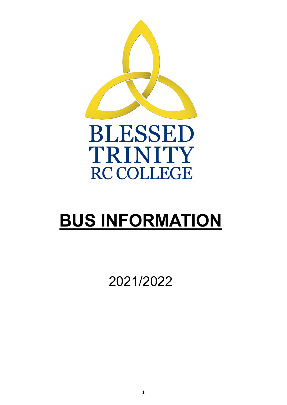

# **BUS INFORMATION**

2021/2022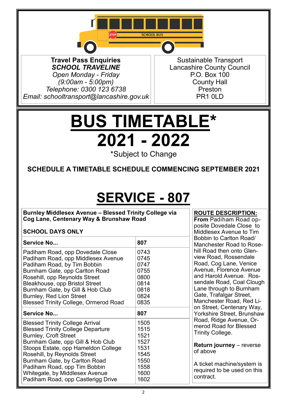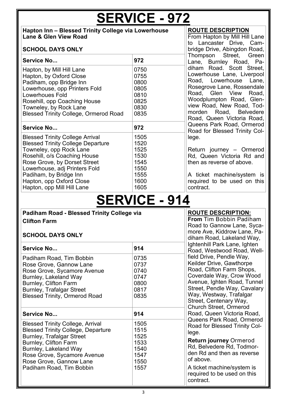# **SERVICE - 972**

#### **Hapton Inn – Blessed Trinity College via Lowerhouse Lane & Glen View Road**

#### **SCHOOL DAYS ONLY**

| Service No                                   | 972  |
|----------------------------------------------|------|
| Hapton, by Mill Hill Lane                    | 0750 |
| Hapton, by Oxford Close                      | 0755 |
| Padiham, opp Bridge Inn                      | 0800 |
| Lowerhouse, opp Printers Fold                | 0805 |
| <b>Lowerhoues Fold</b>                       | 0810 |
| Rosehill, opp Coaching House                 | 0825 |
| Towneley, by Rock Lane                       | 0830 |
| <b>Blessed Trinity College, Ormerod Road</b> | 0835 |
| <b>Service No</b>                            | 972  |
|                                              |      |
| Blessed Trinity College Arrival              | 1505 |
| <b>Blessed Trinity College Departure</b>     | 1520 |
| Towneley, opp Rock Lane                      | 1525 |
| Rosehill, o/s Coaching House                 | 1530 |
| Rose Grove, by Dorset Street                 | 1545 |
| Lowerhouse, adj Printers Fold                | 1550 |
| Padiham, by Bridge Inn                       | 1555 |
| Hapton, opp Oxford Close                     | 1600 |
| Hapton, opp Mill Hill Lane                   | 1605 |

#### **ROUTE DESCRIPTION**

From Hapton by Mill Hill Lane to Lancaster Drive, Cambridge Drive, Abingdon Road, Thompson Street, Green Lane, Burnley Road, Padiham Road. Scott Street, Lowerhouse Lane, Liverpool Road, Lowerhouse Lane, Rosegrove Lane, Rossendale Road, Glen View Road, Woodplumpton Road, Glenview Road, New Road, Todmorden Road, Belvedere Road, Queen Victoria Road, Queens Park Road, Ormerod Road for Blessed Trinity College.

Return journey – Ormerod Rd, Queen Victoria Rd and then as reverse of above.

A ticket machine/system is required to be used on this contract.

## **SERVICE - 914**

### **Padiham Road - Blessed Trinity College via Clifton Farm**

### **SCHOOL DAYS ONLY**

|                                                                                                                                                                                                                                                                         | dinam Roa                                                    |                                                                                                                                          |
|-------------------------------------------------------------------------------------------------------------------------------------------------------------------------------------------------------------------------------------------------------------------------|--------------------------------------------------------------|------------------------------------------------------------------------------------------------------------------------------------------|
| Service No                                                                                                                                                                                                                                                              | 914                                                          | Ightenhill F<br>Road, We                                                                                                                 |
| Padiham Road, Tim Bobbin<br>Rose Grove, Gannow Lane<br>Rose Grove, Sycamore Avenue<br>Burnley, Lakeland Way<br><b>Burnley, Clifton Farm</b><br><b>Burnley, Trafalgar Street</b><br><b>Blessed Trinity, Ormerod Road</b>                                                 | 0735<br>0737<br>0740<br>0747<br>0800<br>0817<br>0835         | field Drive.<br>Keilder Dr<br>Road, Clift<br>Coverdale<br>Avenue, Io<br>Street, Pe<br>Way, Wes<br>Street, Ce<br>Church St                |
| <b>Service No</b>                                                                                                                                                                                                                                                       | 914                                                          | Road, Que                                                                                                                                |
| <b>Blessed Trinity College, Arrival</b><br><b>Blessed Trinity College, Departure</b><br><b>Burnley, Trafalgar Street</b><br><b>Burnley, Clifton Farm</b><br>Burnley, Lakeland Way<br>Rose Grove, Sycamore Avenue<br>Rose Grove, Gannow Lane<br>Padiham Road, Tim Bobbin | 1505<br>1515<br>1525<br>1533<br>1540<br>1547<br>1550<br>1557 | Queens Pa<br>Road for E<br>lege.<br><b>Return jor</b><br>Rd, Belver<br>den Rd an<br>of above.<br>A ticket ma<br>required to<br>contract. |

**ROUTE DESCRIPTION:**

**From** Tim Bobbin Padiham Road to Gannow Lane, Sycamore Ave, Kiddrow Lane, Paad. Lakeland Way, Park Lane, Ighten stwood Road, Well-, Pendle Way, ive. Gawthorpe ton Farm Shops, Way, Crow Wood ahten Road, Tunnel ndle Way, Cavalary tway, Trafalgar ntenary Way, reet, Ormerod een Victoria Road, ark Road, Ormerod **Read Trinity Col-Return journey** Ormerod

dere Rd, Todmord then as reverse

achine/system is be used on this